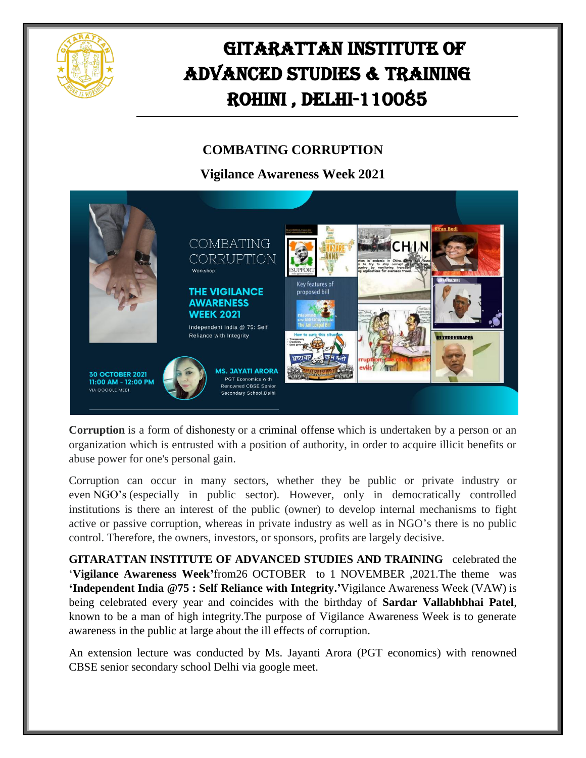

## GITARATTAN INSTITUTE OF ADVANCED STUDIES & TRAINING Rohini , Delhi-110085

## **COMBATING CORRUPTION**

**Vigilance Awareness Week 2021**



**Corruption** is a form of [dishonesty](https://en.m.wikipedia.org/wiki/Dishonesty) or a [criminal](https://en.m.wikipedia.org/wiki/Criminal_offense) offense which is undertaken by a person or an organization which is entrusted with a position of authority, in order to acquire illicit benefits or abuse power for one's personal gain.

Corruption can occur in many sectors, whether they be public or private industry or even [NGO's](https://en.m.wikipedia.org/wiki/NGOs) (especially in public sector). However, only in democratically controlled institutions is there an interest of the public (owner) to develop internal mechanisms to fight active or passive corruption, whereas in private industry as well as in NGO's there is no public control. Therefore, the owners, investors, or sponsors, profits are largely decisive.

**GITARATTAN INSTITUTE OF ADVANCED STUDIES AND TRAINING** celebrated the '**Vigilance Awareness Week'**from26 OCTOBER to 1 NOVEMBER ,2021.The theme was **'Independent India @75 : Self Reliance with Integrity.'**Vigilance Awareness Week (VAW) is being celebrated every year and coincides with the birthday of **Sardar Vallabhbhai Patel**, known to be a man of high integrity.The purpose of Vigilance Awareness Week is to generate awareness in the public at large about the ill effects of corruption.

An extension lecture was conducted by Ms. Jayanti Arora (PGT economics) with renowned CBSE senior secondary school Delhi via google meet.